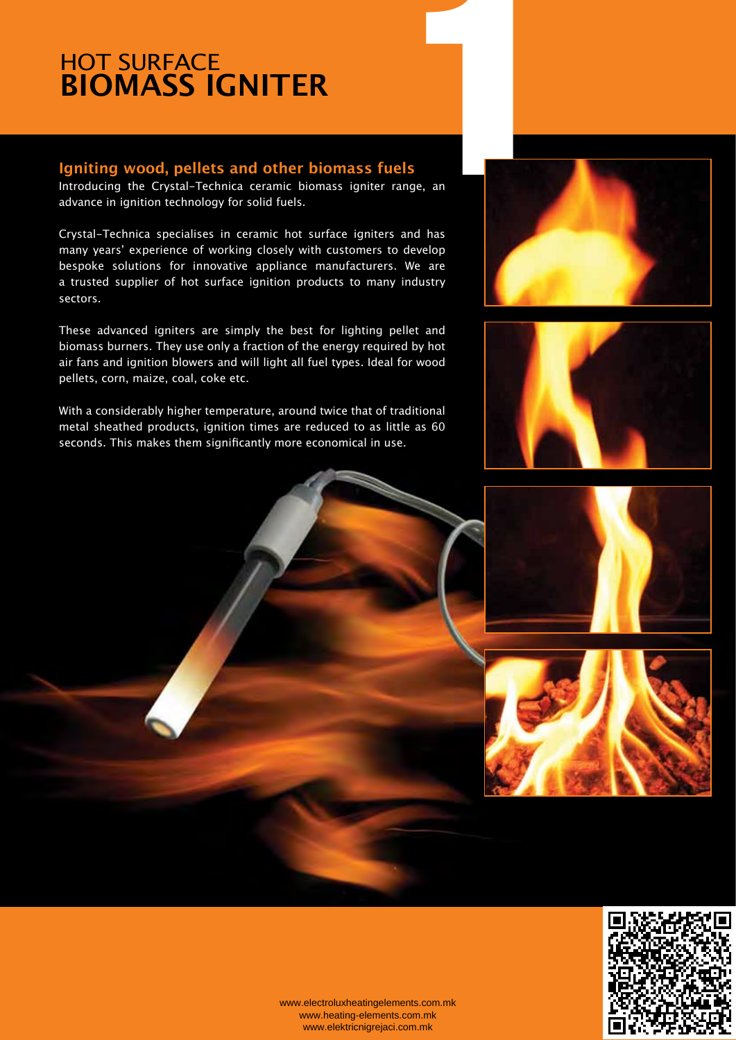## **HOT SURFACE BIOMASS IGNITER**

#### **Igniting wood, pellets and other biomass fuels**

Introducing the Crystal-Technica ceramic biomass igniter range, an advance in ignition technology for solid fuels.

Crystal-Technica specialises in ceramic hot surface igniters and has many years' experience of working closely with customers to develop bespoke solutions for innovative appliance manufacturers. We are a trusted supplier of hot surface ignition products to many industry sectors.

These advanced igniters are simply the best for lighting pellet and biomass burners. They use only a fraction of the energy required by hot air fans and ignition blowers and will light all fuel types. Ideal for wood pellets, corn, maize, coal, coke etc.

With a considerably higher temperature, around twice that of traditional metal sheathed products, ignition times are reduced to as little as 60 seconds. This makes them significantly more economical in use.











www.electroluxheatingelements.com.mk www.heating-elements.com.mk www.elektricnigrejaci.com.mk